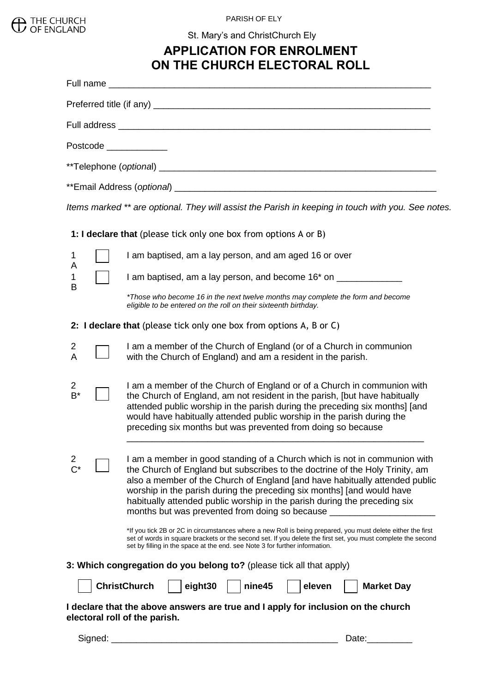PARISH OF ELY



St. Mary's and ChristChurch Ely

## **APPLICATION FOR ENROLMENT ON THE CHURCH ELECTORAL ROLL**

| Postcode _____________ |                                                                                                                                                                                                                                                                                                                                                                                                                                                   |                                                                              |                                                                                                                                                                                                                             |  |
|------------------------|---------------------------------------------------------------------------------------------------------------------------------------------------------------------------------------------------------------------------------------------------------------------------------------------------------------------------------------------------------------------------------------------------------------------------------------------------|------------------------------------------------------------------------------|-----------------------------------------------------------------------------------------------------------------------------------------------------------------------------------------------------------------------------|--|
|                        |                                                                                                                                                                                                                                                                                                                                                                                                                                                   |                                                                              |                                                                                                                                                                                                                             |  |
|                        |                                                                                                                                                                                                                                                                                                                                                                                                                                                   |                                                                              |                                                                                                                                                                                                                             |  |
|                        |                                                                                                                                                                                                                                                                                                                                                                                                                                                   |                                                                              | Items marked ** are optional. They will assist the Parish in keeping in touch with you. See notes.                                                                                                                          |  |
|                        | 1: I declare that (please tick only one box from options A or B)                                                                                                                                                                                                                                                                                                                                                                                  |                                                                              |                                                                                                                                                                                                                             |  |
| 1                      | I am baptised, am a lay person, and am aged 16 or over                                                                                                                                                                                                                                                                                                                                                                                            |                                                                              |                                                                                                                                                                                                                             |  |
| A<br>1                 |                                                                                                                                                                                                                                                                                                                                                                                                                                                   | I am baptised, am a lay person, and become 16 <sup>*</sup> on ______________ |                                                                                                                                                                                                                             |  |
| B                      | *Those who become 16 in the next twelve months may complete the form and become<br>eligible to be entered on the roll on their sixteenth birthday.                                                                                                                                                                                                                                                                                                |                                                                              |                                                                                                                                                                                                                             |  |
|                        | 2: I declare that (please tick only one box from options A, B or C)                                                                                                                                                                                                                                                                                                                                                                               |                                                                              |                                                                                                                                                                                                                             |  |
| 2<br>A                 | I am a member of the Church of England (or of a Church in communion<br>with the Church of England) and am a resident in the parish.                                                                                                                                                                                                                                                                                                               |                                                                              |                                                                                                                                                                                                                             |  |
| 2<br>$B^*$             | I am a member of the Church of England or of a Church in communion with<br>the Church of England, am not resident in the parish, [but have habitually<br>attended public worship in the parish during the preceding six months] [and<br>would have habitually attended public worship in the parish during the<br>preceding six months but was prevented from doing so because                                                                    |                                                                              |                                                                                                                                                                                                                             |  |
|                        | I am a member in good standing of a Church which is not in communion with<br>the Church of England but subscribes to the doctrine of the Holy Trinity, am<br>also a member of the Church of England [and have habitually attended public<br>worship in the parish during the preceding six months] [and would have<br>habitually attended public worship in the parish during the preceding six<br>months but was prevented from doing so because |                                                                              |                                                                                                                                                                                                                             |  |
|                        |                                                                                                                                                                                                                                                                                                                                                                                                                                                   | set by filling in the space at the end. see Note 3 for further information.  | *If you tick 2B or 2C in circumstances where a new Roll is being prepared, you must delete either the first<br>set of words in square brackets or the second set. If you delete the first set, you must complete the second |  |
|                        | 3: Which congregation do you belong to? (please tick all that apply)                                                                                                                                                                                                                                                                                                                                                                              |                                                                              |                                                                                                                                                                                                                             |  |
|                        | <b>ChristChurch</b><br>eight30                                                                                                                                                                                                                                                                                                                                                                                                                    | nine45<br>eleven                                                             | <b>Market Day</b>                                                                                                                                                                                                           |  |
|                        | I declare that the above answers are true and I apply for inclusion on the church<br>electoral roll of the parish.                                                                                                                                                                                                                                                                                                                                |                                                                              |                                                                                                                                                                                                                             |  |
| Signed:<br>Date:       |                                                                                                                                                                                                                                                                                                                                                                                                                                                   |                                                                              |                                                                                                                                                                                                                             |  |